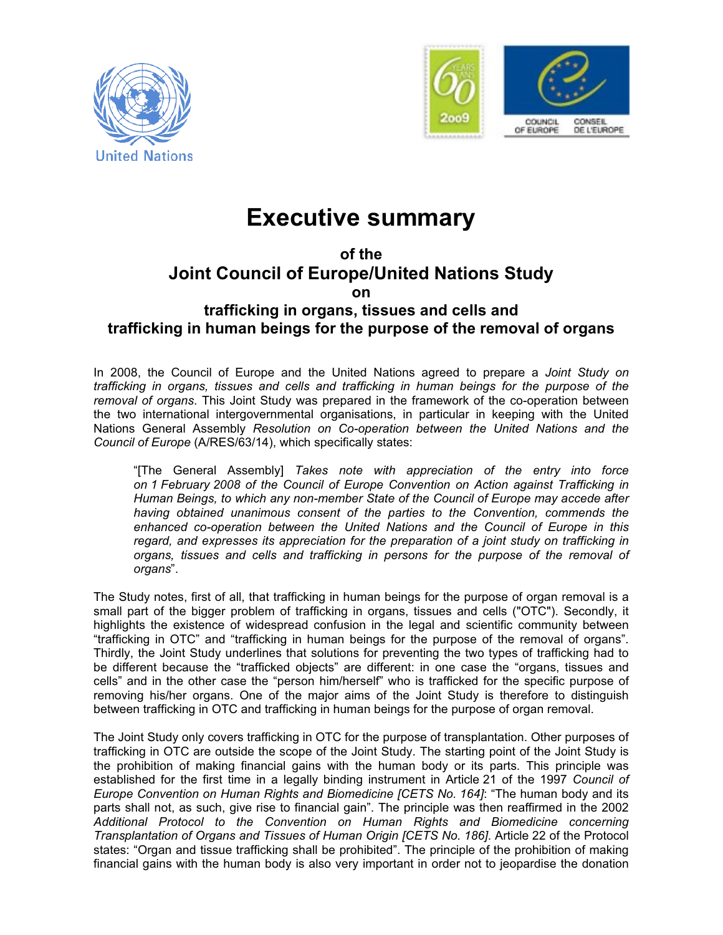



## **Executive summary**

## **of the Joint Council of Europe/United Nations Study on**

## **trafficking in organs, tissues and cells and trafficking in human beings for the purpose of the removal of organs**

In 2008, the Council of Europe and the United Nations agreed to prepare a *Joint Study on trafficking in organs, tissues and cells and trafficking in human beings for the purpose of the removal of organs*. This Joint Study was prepared in the framework of the co-operation between the two international intergovernmental organisations, in particular in keeping with the United Nations General Assembly *Resolution on Co-operation between the United Nations and the Council of Europe* (A/RES/63/14), which specifically states:

"[The General Assembly] *Takes note with appreciation of the entry into force on 1 February 2008 of the Council of Europe Convention on Action against Trafficking in Human Beings, to which any non-member State of the Council of Europe may accede after having obtained unanimous consent of the parties to the Convention, commends the enhanced co-operation between the United Nations and the Council of Europe in this regard, and expresses its appreciation for the preparation of a joint study on trafficking in organs, tissues and cells and trafficking in persons for the purpose of the removal of organs*".

The Study notes, first of all, that trafficking in human beings for the purpose of organ removal is a small part of the bigger problem of trafficking in organs, tissues and cells ("OTC"). Secondly, it highlights the existence of widespread confusion in the legal and scientific community between "trafficking in OTC" and "trafficking in human beings for the purpose of the removal of organs". Thirdly, the Joint Study underlines that solutions for preventing the two types of trafficking had to be different because the "trafficked objects" are different: in one case the "organs, tissues and cells" and in the other case the "person him/herself" who is trafficked for the specific purpose of removing his/her organs. One of the major aims of the Joint Study is therefore to distinguish between trafficking in OTC and trafficking in human beings for the purpose of organ removal.

The Joint Study only covers trafficking in OTC for the purpose of transplantation. Other purposes of trafficking in OTC are outside the scope of the Joint Study. The starting point of the Joint Study is the prohibition of making financial gains with the human body or its parts. This principle was established for the first time in a legally binding instrument in Article 21 of the 1997 *Council of Europe Convention on Human Rights and Biomedicine [CETS No. 164]*: "The human body and its parts shall not, as such, give rise to financial gain". The principle was then reaffirmed in the 2002 *Additional Protocol to the Convention on Human Rights and Biomedicine concerning Transplantation of Organs and Tissues of Human Origin [CETS No. 186]*. Article 22 of the Protocol states: "Organ and tissue trafficking shall be prohibited". The principle of the prohibition of making financial gains with the human body is also very important in order not to jeopardise the donation